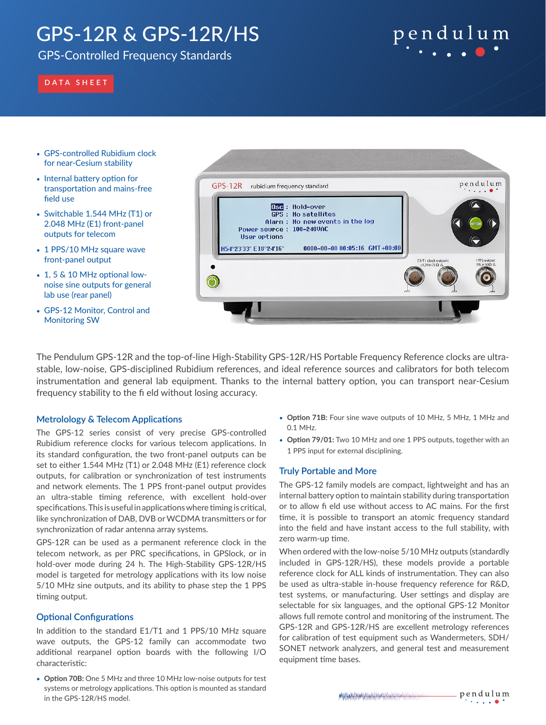# GPS-12R & GPS-12R/HS

### GPS-Controlled Frequency Standards

# pendulum

### **DATA SHEET**

- GPS-controlled Rubidium clock for near-Cesium stability
- Internal battery option for transportation and mains-free field use
- Switchable 1.544 MHz (T1) or 2.048 MHz (E1) front-panel outputs for telecom
- 1 PPS/10 MHz square wave front-panel output
- 1, 5 & 10 MHz optional lownoise sine outputs for general lab use (rear panel)
- GPS-12 Monitor, Control and Monitoring SW



The Pendulum GPS-12R and the top-of-line High-Stability GPS-12R/HS Portable Frequency Reference clocks are ultrastable, low-noise, GPS-disciplined Rubidium references, and ideal reference sources and calibrators for both telecom instrumentation and general lab equipment. Thanks to the internal battery option, you can transport near-Cesium frequency stability to the fi eld without losing accuracy.

#### **Metrolology & Telecom Applications**

The GPS-12 series consist of very precise GPS-controlled Rubidium reference clocks for various telecom applications. In its standard configuration, the two front-panel outputs can be set to either 1.544 MHz (T1) or 2.048 MHz (E1) reference clock outputs, for calibration or synchronization of test instruments and network elements. The 1 PPS front-panel output provides an ultra-stable timing reference, with excellent hold-over specifications. This is useful in applications where timing is critical, like synchronization of DAB, DVB or WCDMA transmitters or for synchronization of radar antenna array systems.

GPS-12R can be used as a permanent reference clock in the telecom network, as per PRC specifications, in GPSlock, or in hold-over mode during 24 h. The High-Stability GPS-12R/HS model is targeted for metrology applications with its low noise 5/10 MHz sine outputs, and its ability to phase step the 1 PPS timing output.

#### **Optional Configurations**

In addition to the standard E1/T1 and 1 PPS/10 MHz square wave outputs, the GPS-12 family can accommodate two additional rearpanel option boards with the following I/O characteristic:

• **Option 70B:** One 5 MHz and three 10 MHz low-noise outputs for test systems or metrology applications. This option is mounted as standard in the GPS-12R/HS model.

- **Option 71B:** Four sine wave outputs of 10 MHz, 5 MHz, 1 MHz and 0.1 MHz.
- **Option 79/01:** Two 10 MHz and one 1 PPS outputs, together with an 1 PPS input for external disciplining.

#### **Truly Portable and More**

The GPS-12 family models are compact, lightweight and has an internal battery option to maintain stability during transportation or to allow fi eld use without access to AC mains. For the first time, it is possible to transport an atomic frequency standard into the field and have instant access to the full stability, with zero warm-up time.

When ordered with the low-noise 5/10 MHz outputs (standardly included in GPS-12R/HS), these models provide a portable reference clock for ALL kinds of instrumentation. They can also be used as ultra-stable in-house frequency reference for R&D, test systems, or manufacturing. User settings and display are selectable for six languages, and the optional GPS-12 Monitor allows full remote control and monitoring of the instrument. The GPS-12R and GPS-12R/HS are excellent metrology references for calibration of test equipment such as Wandermeters, SDH/ SONET network analyzers, and general test and measurement equipment time bases.